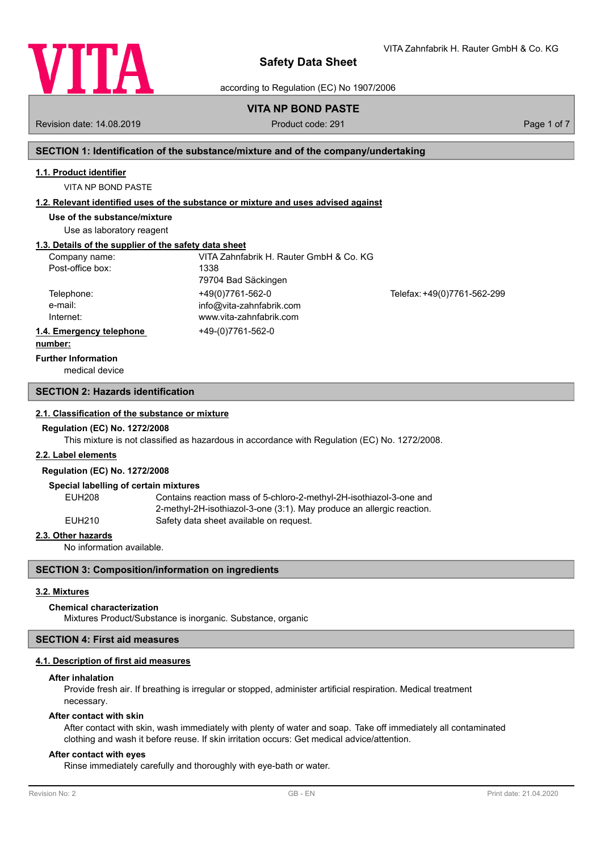

VITA Zahnfabrik H. Rauter GmbH & Co. KG

according to Regulation (EC) No 1907/2006

# **VITA NP BOND PASTE**

Revision date: 14.08.2019 **Product code: 291** Product code: 291 **Page 1 of 7** Page 1 of 7

# **SECTION 1: Identification of the substance/mixture and of the company/undertaking**

# **1.1. Product identifier**

VITA NP BOND PASTE

# **1.2. Relevant identified uses of the substance or mixture and uses advised against**

**Use of the substance/mixture**

Use as laboratory reagent

# **1.3. Details of the supplier of the safety data sheet**

| Company name:            | VITA Zahnfabrik H. Rauter GmbH & Co. KG |                             |
|--------------------------|-----------------------------------------|-----------------------------|
| Post-office box:         | 1338                                    |                             |
|                          | 79704 Bad Säckingen                     |                             |
| Telephone:               | +49(0)7761-562-0                        | Telefax: +49(0)7761-562-299 |
| e-mail:                  | info@vita-zahnfabrik.com                |                             |
| Internet:                | www.vita-zahnfabrik.com                 |                             |
| 1.4. Emergency telephone | +49-(0)7761-562-0                       |                             |
| numher <sup>.</sup>      |                                         |                             |

# **number:**

medical device **Further Information**

### **SECTION 2: Hazards identification**

### **2.1. Classification of the substance or mixture**

#### **Regulation (EC) No. 1272/2008**

This mixture is not classified as hazardous in accordance with Regulation (EC) No. 1272/2008.

### **2.2. Label elements**

# **Regulation (EC) No. 1272/2008**

#### **Special labelling of certain mixtures**

| EUH208 | Contains reaction mass of 5-chloro-2-methyl-2H-isothiazol-3-one and      |
|--------|--------------------------------------------------------------------------|
|        | $2$ -methyl-2H-isothiazol-3-one (3:1). May produce an allergic reaction. |
| EUH210 | Safety data sheet available on request.                                  |

### **2.3. Other hazards**

No information available.

# **SECTION 3: Composition/information on ingredients**

### **3.2. Mixtures**

### **Chemical characterization**

Mixtures Product/Substance is inorganic. Substance, organic

#### **SECTION 4: First aid measures**

### **4.1. Description of first aid measures**

## **After inhalation**

Provide fresh air. If breathing is irregular or stopped, administer artificial respiration. Medical treatment necessary.

## **After contact with skin**

After contact with skin, wash immediately with plenty of water and soap. Take off immediately all contaminated clothing and wash it before reuse. If skin irritation occurs: Get medical advice/attention.

### **After contact with eyes**

Rinse immediately carefully and thoroughly with eye-bath or water.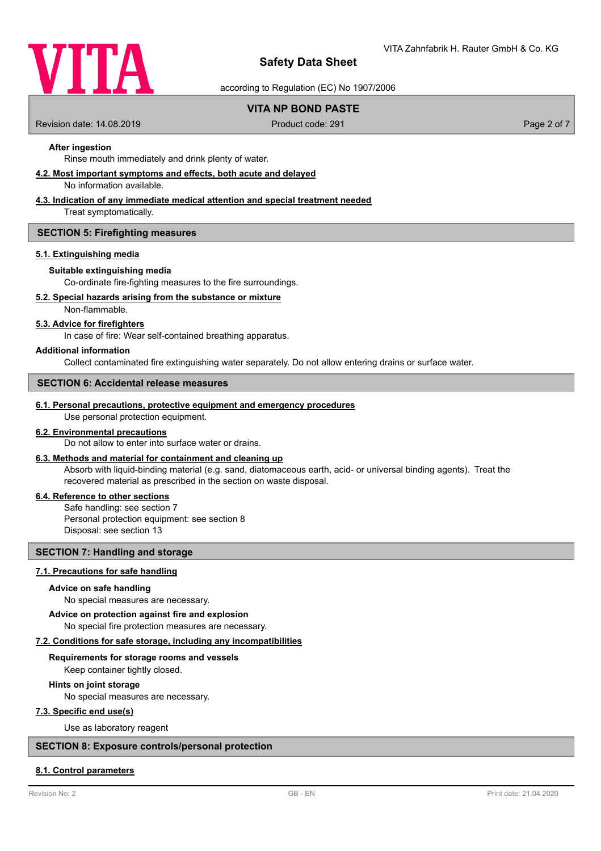

according to Regulation (EC) No 1907/2006

# **VITA NP BOND PASTE**

Revision date: 14.08.2019 **Product code: 291** Product code: 291 **Page 2 of 7** Page 2 of 7

# **After ingestion**

Rinse mouth immediately and drink plenty of water.

### **4.2. Most important symptoms and effects, both acute and delayed**

No information available.

# **4.3. Indication of any immediate medical attention and special treatment needed**

Treat symptomatically.

### **SECTION 5: Firefighting measures**

#### **5.1. Extinguishing media**

# **Suitable extinguishing media**

Co-ordinate fire-fighting measures to the fire surroundings.

#### **5.2. Special hazards arising from the substance or mixture**

Non-flammable.

### **5.3. Advice for firefighters**

In case of fire: Wear self-contained breathing apparatus.

### **Additional information**

Collect contaminated fire extinguishing water separately. Do not allow entering drains or surface water.

## **SECTION 6: Accidental release measures**

### **6.1. Personal precautions, protective equipment and emergency procedures**

Use personal protection equipment.

# **6.2. Environmental precautions**

Do not allow to enter into surface water or drains.

# **6.3. Methods and material for containment and cleaning up**

Absorb with liquid-binding material (e.g. sand, diatomaceous earth, acid- or universal binding agents). Treat the recovered material as prescribed in the section on waste disposal.

# **6.4. Reference to other sections**

Safe handling: see section 7 Personal protection equipment: see section 8 Disposal: see section 13

## **SECTION 7: Handling and storage**

# **7.1. Precautions for safe handling**

#### **Advice on safe handling**

No special measures are necessary.

#### **Advice on protection against fire and explosion**

No special fire protection measures are necessary.

#### **7.2. Conditions for safe storage, including any incompatibilities**

#### **Requirements for storage rooms and vessels**

Keep container tightly closed.

#### **Hints on joint storage**

No special measures are necessary.

### **7.3. Specific end use(s)**

Use as laboratory reagent

# **SECTION 8: Exposure controls/personal protection**

#### **8.1. Control parameters**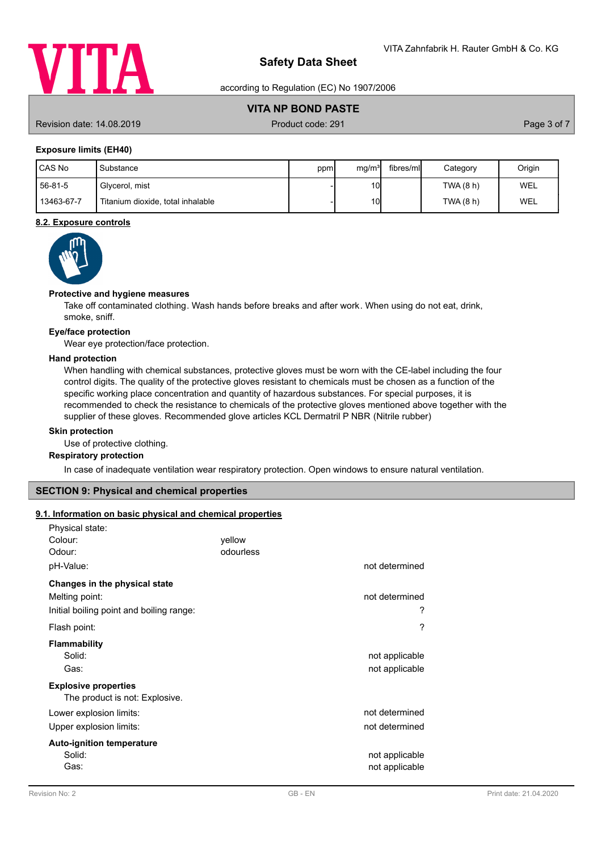

according to Regulation (EC) No 1907/2006

# **VITA NP BOND PASTE**

Revision date: 14.08.2019 **Product code: 291** Product code: 291 **Page 3 of 7** Page 3 of 7

# **Exposure limits (EH40)**

| I CAS No   | Substance                         | ppm | mq/m <sup>3</sup> | fibres/mll | Category  | Origin |
|------------|-----------------------------------|-----|-------------------|------------|-----------|--------|
| 56-81-5    | Givcerol, mist                    |     | 10 <sub>1</sub>   |            | TWA(8 h)  | WEL    |
| 13463-67-7 | Titanium dioxide, total inhalable |     | 10 <sub>l</sub>   |            | TWA (8 h) | WEL    |

# **8.2. Exposure controls**



## **Protective and hygiene measures**

Take off contaminated clothing. Wash hands before breaks and after work. When using do not eat, drink, smoke, sniff.

#### **Eye/face protection**

Wear eye protection/face protection.

# **Hand protection**

When handling with chemical substances, protective gloves must be worn with the CE-label including the four control digits. The quality of the protective gloves resistant to chemicals must be chosen as a function of the specific working place concentration and quantity of hazardous substances. For special purposes, it is recommended to check the resistance to chemicals of the protective gloves mentioned above together with the supplier of these gloves. Recommended glove articles KCL Dermatril P NBR (Nitrile rubber)

### **Skin protection**

Use of protective clothing.

# **Respiratory protection**

In case of inadequate ventilation wear respiratory protection. Open windows to ensure natural ventilation.

# **SECTION 9: Physical and chemical properties**

# **9.1. Information on basic physical and chemical properties**

| Physical state:<br>Colour:<br>Odour:                                                        | yellow<br>odourless | not determined                   |
|---------------------------------------------------------------------------------------------|---------------------|----------------------------------|
| pH-Value:                                                                                   |                     |                                  |
| Changes in the physical state<br>Melting point:<br>Initial boiling point and boiling range: |                     | not determined<br>?              |
| Flash point:                                                                                |                     | ?                                |
| <b>Flammability</b><br>Solid:<br>Gas:                                                       |                     | not applicable<br>not applicable |
| <b>Explosive properties</b><br>The product is not: Explosive.                               |                     |                                  |
| Lower explosion limits:<br>Upper explosion limits:                                          |                     | not determined<br>not determined |
| <b>Auto-ignition temperature</b><br>Solid:<br>Gas:                                          |                     | not applicable<br>not applicable |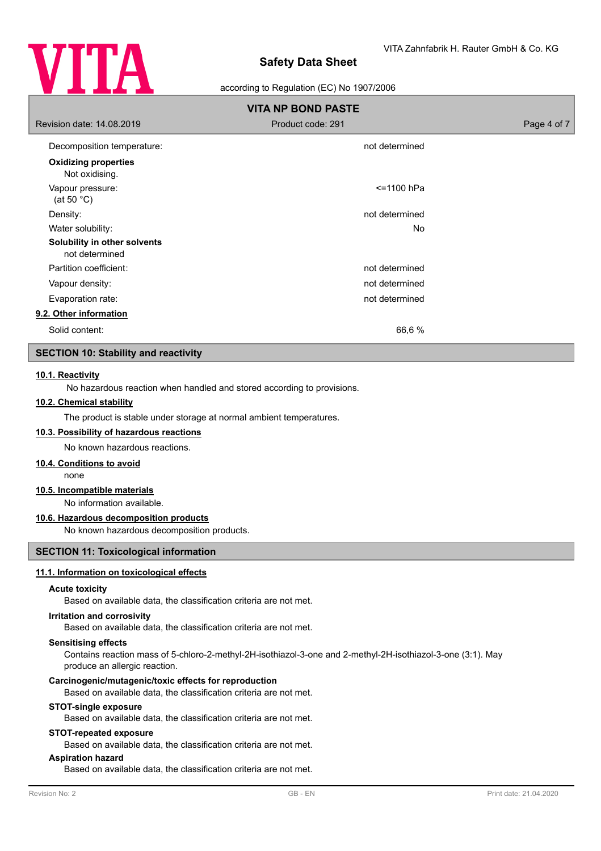

#### according to Regulation (EC) No 1907/2006

| <b>VITA NP BOND PASTE</b>                      |                   |             |
|------------------------------------------------|-------------------|-------------|
| Revision date: 14,08,2019                      | Product code: 291 | Page 4 of 7 |
| Decomposition temperature:                     | not determined    |             |
| <b>Oxidizing properties</b><br>Not oxidising.  |                   |             |
| Vapour pressure:<br>(at 50 $^{\circ}$ C)       | <=1100 hPa        |             |
| Density:                                       | not determined    |             |
| Water solubility:                              | No.               |             |
| Solubility in other solvents<br>not determined |                   |             |
| Partition coefficient:                         | not determined    |             |
| Vapour density:                                | not determined    |             |
| Evaporation rate:                              | not determined    |             |
| 9.2. Other information                         |                   |             |
| Solid content:                                 | 66,6 %            |             |

# **SECTION 10: Stability and reactivity**

## **10.1. Reactivity**

No hazardous reaction when handled and stored according to provisions.

# **10.2. Chemical stability**

The product is stable under storage at normal ambient temperatures.

# **10.3. Possibility of hazardous reactions**

No known hazardous reactions.

# **10.4. Conditions to avoid**

none

## **10.5. Incompatible materials**

No information available.

### **10.6. Hazardous decomposition products**

No known hazardous decomposition products.

# **SECTION 11: Toxicological information**

#### **11.1. Information on toxicological effects**

#### **Acute toxicity**

Based on available data, the classification criteria are not met.

#### **Irritation and corrosivity**

Based on available data, the classification criteria are not met.

#### **Sensitising effects**

Contains reaction mass of 5-chloro-2-methyl-2H-isothiazol-3-one and 2-methyl-2H-isothiazol-3-one (3:1). May produce an allergic reaction.

#### **Carcinogenic/mutagenic/toxic effects for reproduction**

Based on available data, the classification criteria are not met.

# **STOT-single exposure**

Based on available data, the classification criteria are not met.

# **STOT-repeated exposure**

Based on available data, the classification criteria are not met.

# **Aspiration hazard**

Based on available data, the classification criteria are not met.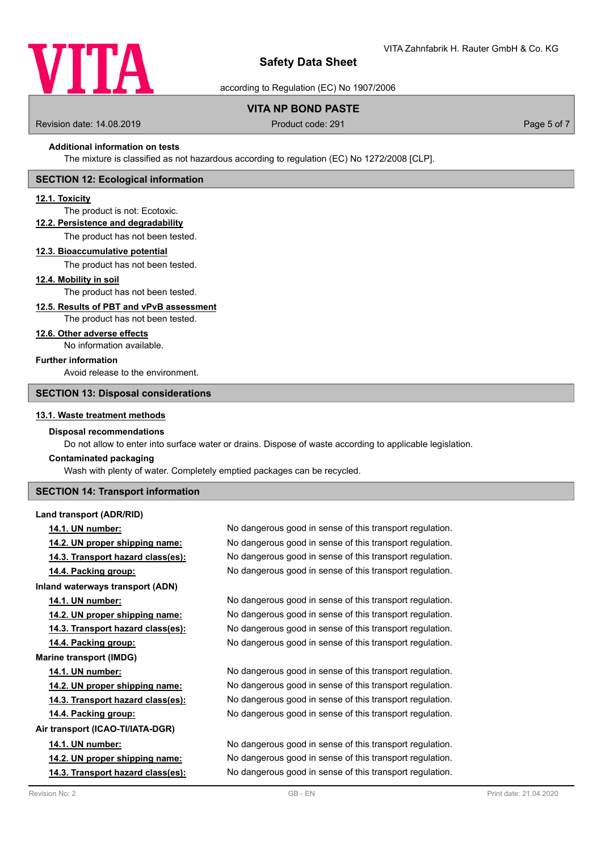

according to Regulation (EC) No 1907/2006

# **VITA NP BOND PASTE**

Revision date: 14.08.2019 **Product code: 291** Product code: 291 **Page 5 of 7** Page 5 of 7

#### **Additional information on tests**

The mixture is classified as not hazardous according to regulation (EC) No 1272/2008 [CLP].

## **SECTION 12: Ecological information**

## **12.1. Toxicity**

# The product is not: Ecotoxic.

**12.2. Persistence and degradability**

The product has not been tested.

#### **12.3. Bioaccumulative potential**

The product has not been tested.

#### **12.4. Mobility in soil**

The product has not been tested.

# **12.5. Results of PBT and vPvB assessment**

The product has not been tested.

#### **12.6. Other adverse effects**

No information available.

# **Further information**

Avoid release to the environment.

# **SECTION 13: Disposal considerations**

#### **13.1. Waste treatment methods**

#### **Disposal recommendations**

Do not allow to enter into surface water or drains. Dispose of waste according to applicable legislation.

### **Contaminated packaging**

Wash with plenty of water. Completely emptied packages can be recycled.

## **SECTION 14: Transport information**

### **Land transport (ADR/RID)**

**14.1. UN number:** No dangerous good in sense of this transport regulation. **Inland waterways transport (ADN) Marine transport (IMDG) Air transport (ICAO-TI/IATA-DGR)**

**14.2. UN proper shipping name:** No dangerous good in sense of this transport regulation. **14.3. Transport hazard class(es):** No dangerous good in sense of this transport regulation. **14.4. Packing group:** No dangerous good in sense of this transport regulation.

**14.1. UN number:** No dangerous good in sense of this transport regulation. **14.2. UN proper shipping name:** No dangerous good in sense of this transport regulation. **14.3. Transport hazard class(es):** No dangerous good in sense of this transport regulation. **14.4. Packing group:** No dangerous good in sense of this transport regulation.

**14.1. UN number:** No dangerous good in sense of this transport regulation. **14.2. UN proper shipping name:** No dangerous good in sense of this transport regulation. **14.3. Transport hazard class(es):** No dangerous good in sense of this transport regulation. **14.4. Packing group:** No dangerous good in sense of this transport regulation.

**14.1. UN number:** No dangerous good in sense of this transport regulation. **14.2. UN proper shipping name:** No dangerous good in sense of this transport regulation. **14.3. Transport hazard class(es):** No dangerous good in sense of this transport regulation.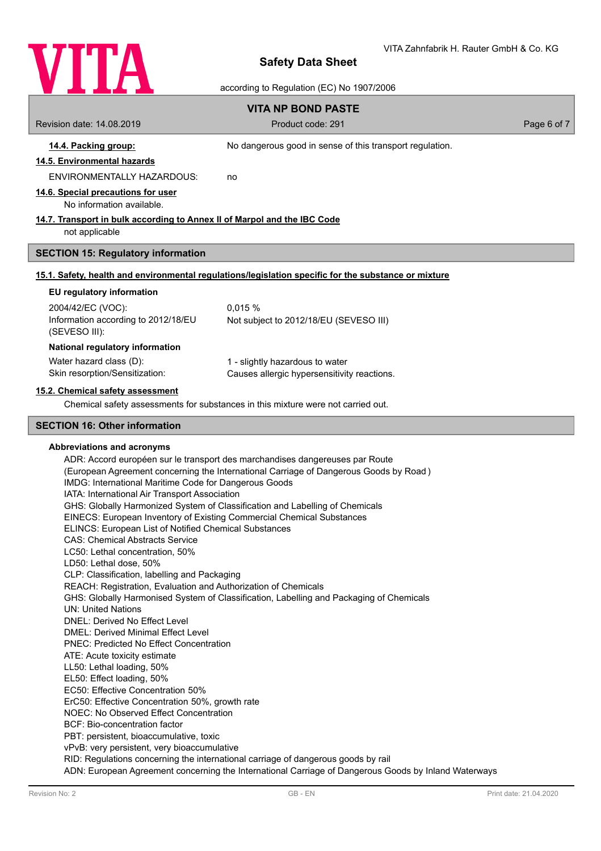

according to Regulation (EC) No 1907/2006

|                                                                          | according to Regulation (EC) No 1907/2006                                                            |             |
|--------------------------------------------------------------------------|------------------------------------------------------------------------------------------------------|-------------|
|                                                                          | <b>VITA NP BOND PASTE</b>                                                                            |             |
| Revision date: 14.08.2019                                                | Product code: 291                                                                                    | Page 6 of 7 |
| 14.4. Packing group:                                                     | No dangerous good in sense of this transport regulation.                                             |             |
| 14.5. Environmental hazards                                              |                                                                                                      |             |
| <b>ENVIRONMENTALLY HAZARDOUS:</b>                                        | no                                                                                                   |             |
| 14.6. Special precautions for user                                       |                                                                                                      |             |
| No information available.                                                |                                                                                                      |             |
| 14.7. Transport in bulk according to Annex II of Marpol and the IBC Code |                                                                                                      |             |
| not applicable                                                           |                                                                                                      |             |
| <b>SECTION 15: Regulatory information</b>                                |                                                                                                      |             |
|                                                                          | 15.1. Safety, health and environmental regulations/legislation specific for the substance or mixture |             |
| EU regulatory information                                                |                                                                                                      |             |
| 2004/42/EC (VOC):                                                        | 0,015 %                                                                                              |             |
| Information according to 2012/18/EU                                      | Not subject to 2012/18/EU (SEVESO III)                                                               |             |
| (SEVESO III):                                                            |                                                                                                      |             |
| National regulatory information                                          |                                                                                                      |             |
| Water hazard class (D):<br>Skin resorption/Sensitization:                | 1 - slightly hazardous to water<br>Causes allergic hypersensitivity reactions.                       |             |
|                                                                          |                                                                                                      |             |
| 15.2. Chemical safety assessment                                         | Chemical safety assessments for substances in this mixture were not carried out.                     |             |
|                                                                          |                                                                                                      |             |
| <b>SECTION 16: Other information</b>                                     |                                                                                                      |             |
| Abbreviations and acronyms                                               |                                                                                                      |             |
|                                                                          | ADR: Accord européen sur le transport des marchandises dangereuses par Route                         |             |
| IMDG: International Maritime Code for Dangerous Goods                    | (European Agreement concerning the International Carriage of Dangerous Goods by Road)                |             |
| IATA: International Air Transport Association                            |                                                                                                      |             |
|                                                                          | GHS: Globally Harmonized System of Classification and Labelling of Chemicals                         |             |
| EINECS: European Inventory of Existing Commercial Chemical Substances    |                                                                                                      |             |
| ELINCS: European List of Notified Chemical Substances                    |                                                                                                      |             |
| <b>CAS: Chemical Abstracts Service</b>                                   |                                                                                                      |             |
| LC50: Lethal concentration, 50%<br>LD50: Lethal dose, 50%                |                                                                                                      |             |
| CLP: Classification, labelling and Packaging                             |                                                                                                      |             |
| REACH: Registration, Evaluation and Authorization of Chemicals           |                                                                                                      |             |
|                                                                          | GHS: Globally Harmonised System of Classification, Labelling and Packaging of Chemicals              |             |
| <b>UN: United Nations</b><br><b>DNEL: Derived No Effect Level</b>        |                                                                                                      |             |
| <b>DMEL: Derived Minimal Effect Level</b>                                |                                                                                                      |             |
| <b>PNEC: Predicted No Effect Concentration</b>                           |                                                                                                      |             |
| ATE: Acuto tovicity octimate                                             |                                                                                                      |             |

ATE: Acute toxicity estimate LL50: Lethal loading, 50%

EL50: Effect loading, 50%

EC50: Effective Concentration 50%

ErC50: Effective Concentration 50%, growth rate

NOEC: No Observed Effect Concentration

BCF: Bio-concentration factor

PBT: persistent, bioaccumulative, toxic

vPvB: very persistent, very bioaccumulative

RID: Regulations concerning the international carriage of dangerous goods by rail

ADN: European Agreement concerning the International Carriage of Dangerous Goods by Inland Waterways